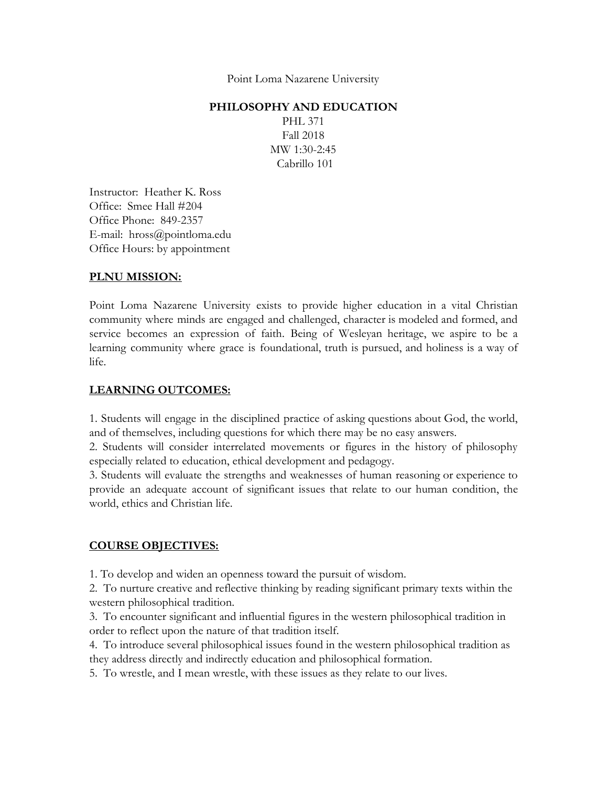Point Loma Nazarene University

#### **PHILOSOPHY AND EDUCATION**

PHL 371 Fall 2018 MW 1:30-2:45 Cabrillo 101

Instructor: Heather K. Ross Office: Smee Hall #204 Office Phone: 849-2357 E-mail: hross@pointloma.edu Office Hours: by appointment

#### **PLNU MISSION:**

Point Loma Nazarene University exists to provide higher education in a vital Christian community where minds are engaged and challenged, character is modeled and formed, and service becomes an expression of faith. Being of Wesleyan heritage, we aspire to be a learning community where grace is foundational, truth is pursued, and holiness is a way of life.

#### **LEARNING OUTCOMES:**

1. Students will engage in the disciplined practice of asking questions about God, the world, and of themselves, including questions for which there may be no easy answers.

2. Students will consider interrelated movements or figures in the history of philosophy especially related to education, ethical development and pedagogy.

3. Students will evaluate the strengths and weaknesses of human reasoning or experience to provide an adequate account of significant issues that relate to our human condition, the world, ethics and Christian life.

#### **COURSE OBJECTIVES:**

1. To develop and widen an openness toward the pursuit of wisdom.

2. To nurture creative and reflective thinking by reading significant primary texts within the western philosophical tradition.

3. To encounter significant and influential figures in the western philosophical tradition in order to reflect upon the nature of that tradition itself.

4. To introduce several philosophical issues found in the western philosophical tradition as they address directly and indirectly education and philosophical formation.

5. To wrestle, and I mean wrestle, with these issues as they relate to our lives.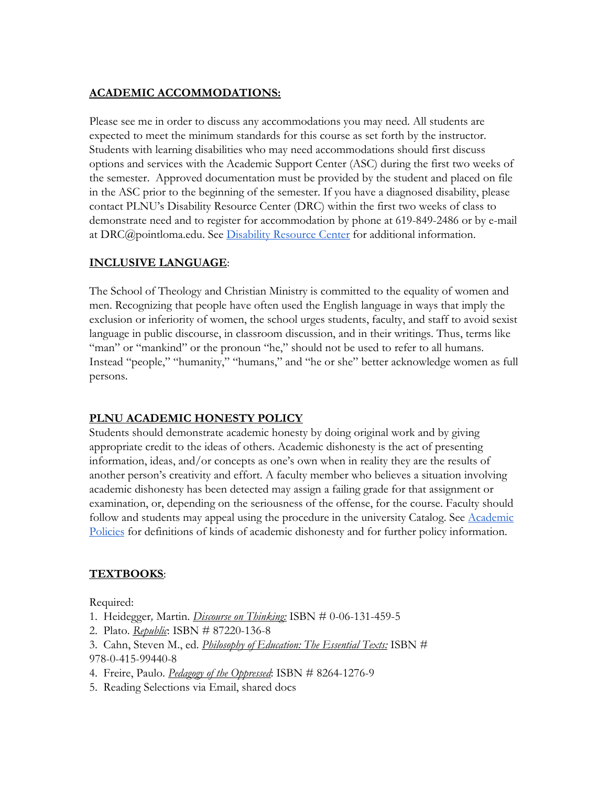# **ACADEMIC ACCOMMODATIONS:**

Please see me in order to discuss any accommodations you may need. All students are expected to meet the minimum standards for this course as set forth by the instructor. Students with learning disabilities who may need accommodations should first discuss options and services with the Academic Support Center (ASC) during the first two weeks of the semester. Approved documentation must be provided by the student and placed on file in the ASC prior to the beginning of the semester. If you have a diagnosed disability, please contact PLNU's Disability Resource Center (DRC) within the first two weeks of class to demonstrate need and to register for accommodation by phone at 619-849-2486 or by e-mail at DRC@pointloma.[e](http://www.pointloma.edu/experience/offices/administrative-offices/academic-advising-office/disability-resource-center)du. See [Disability Resource Center](http://www.pointloma.edu/experience/offices/administrative-offices/academic-advising-office/disability-resource-center) for additional information.

## **INCLUSIVE LANGUAGE**:

The School of Theology and Christian Ministry is committed to the equality of women and men. Recognizing that people have often used the English language in ways that imply the exclusion or inferiority of women, the school urges students, faculty, and staff to avoid sexist language in public discourse, in classroom discussion, and in their writings. Thus, terms like "man" or "mankind" or the pronoun "he," should not be used to refer to all humans. Instead "people," "humanity," "humans," and "he or she" better acknowledge women as full persons.

## **PLNU ACADEMIC HONESTY POLICY**

Students should demonstrate academic honesty by doing original work and by giving appropriate credit to the ideas of others. Academic dishonesty is the act of presenting information, ideas, and/or concepts as one's own when in reality they are the results of another person's creativity and effort. A faculty member who believes a situation involving academic dishonesty has been detected may assign a failing grade for that assignment or examination, or, depending on the seriousness of the offense, for the course. Faculty should follow and students may appeal using the procedure in the university Catalog. See [Academic](http://catalog.pointloma.edu/content.php?catoid=18&navoid=1278) [Policies](http://catalog.pointloma.edu/content.php?catoid=18&navoid=1278) for definitions of kinds of academic dishonesty and for further policy information.

## **TEXTBOOKS**:

Required:

- 1. Heidegger*,* Martin. *Discourse on Thinking:* ISBN # 0-06-131-459-5
- 2. Plato. *Republic*: ISBN # 87220-136-8
- 3. Cahn, Steven M., ed. *Philosophy of Education: The Essential Texts:* ISBN # 978-0-415-99440-8
- 4. Freire, Paulo. *Pedagogy of the Oppressed*: ISBN # 8264-1276-9
- 5. Reading Selections via Email, shared docs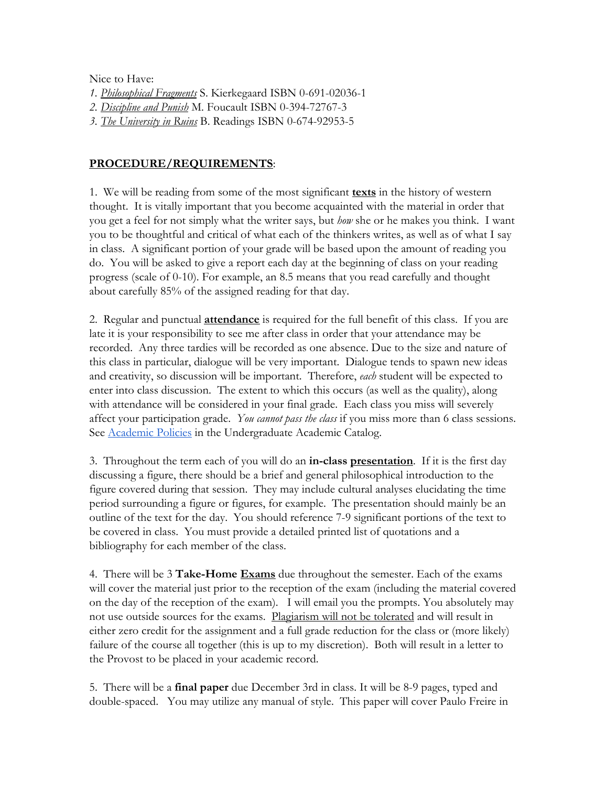Nice to Have:

- *1. Philosophical Fragments* S. Kierkegaard ISBN 0-691-02036-1
- *2. Discipline and Punish* M. Foucault ISBN 0-394-72767-3
- *3. The University in Ruins* B. Readings ISBN 0-674-92953-5

## **PROCEDURE/REQUIREMENTS**:

1. We will be reading from some of the most significant **texts** in the history of western thought. It is vitally important that you become acquainted with the material in order that you get a feel for not simply what the writer says, but *how* she or he makes you think. I want you to be thoughtful and critical of what each of the thinkers writes, as well as of what I say in class. A significant portion of your grade will be based upon the amount of reading you do. You will be asked to give a report each day at the beginning of class on your reading progress (scale of 0-10). For example, an 8.5 means that you read carefully and thought about carefully 85% of the assigned reading for that day.

2. Regular and punctual **attendance** is required for the full benefit of this class. If you are late it is your responsibility to see me after class in order that your attendance may be recorded. Any three tardies will be recorded as one absence. Due to the size and nature of this class in particular, dialogue will be very important. Dialogue tends to spawn new ideas and creativity, so discussion will be important. Therefore, *each* student will be expected to enter into class discussion. The extent to which this occurs (as well as the quality), along with attendance will be considered in your final grade. Each class you miss will severely affect your participation grade. *You cannot pass the class* if you miss more than 6 class sessions. See **Academic Policies** in the Undergraduate Academic Catalog.

3. Throughout the term each of you will do an **in-class presentation**. If it is the first day discussing a figure, there should be a brief and general philosophical introduction to the figure covered during that session. They may include cultural analyses elucidating the time period surrounding a figure or figures, for example. The presentation should mainly be an outline of the text for the day. You should reference 7-9 significant portions of the text to be covered in class. You must provide a detailed printed list of quotations and a bibliography for each member of the class.

4. There will be 3 **Take-Home Exams** due throughout the semester. Each of the exams will cover the material just prior to the reception of the exam (including the material covered on the day of the reception of the exam). I will email you the prompts. You absolutely may not use outside sources for the exams. Plagiarism will not be tolerated and will result in either zero credit for the assignment and a full grade reduction for the class or (more likely) failure of the course all together (this is up to my discretion). Both will result in a letter to the Provost to be placed in your academic record.

5. There will be a **final paper** due December 3rd in class. It will be 8-9 pages, typed and double-spaced. You may utilize any manual of style. This paper will cover Paulo Freire in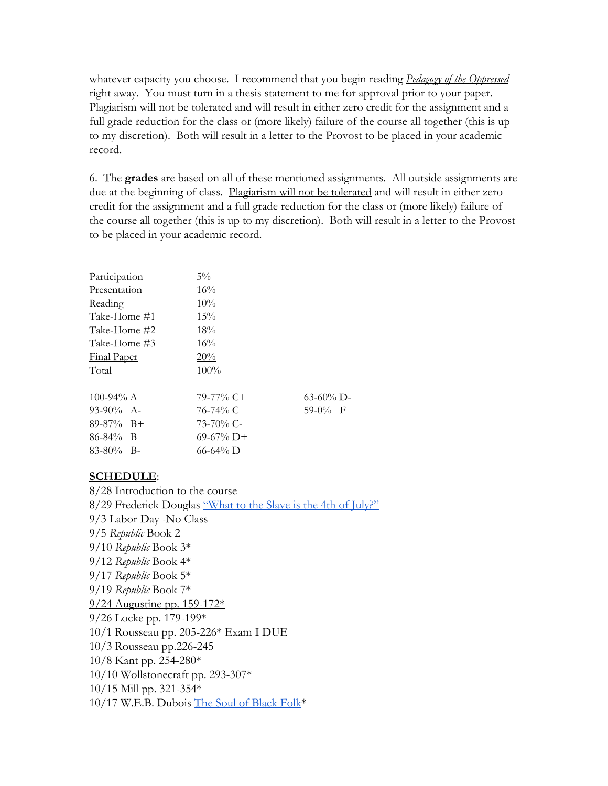whatever capacity you choose. I recommend that you begin reading *Pedagogy of the Oppressed* right away. You must turn in a thesis statement to me for approval prior to your paper. Plagiarism will not be tolerated and will result in either zero credit for the assignment and a full grade reduction for the class or (more likely) failure of the course all together (this is up to my discretion). Both will result in a letter to the Provost to be placed in your academic record.

6. The **grades** are based on all of these mentioned assignments. All outside assignments are due at the beginning of class. Plagiarism will not be tolerated and will result in either zero credit for the assignment and a full grade reduction for the class or (more likely) failure of the course all together (this is up to my discretion). Both will result in a letter to the Provost to be placed in your academic record.

| Participation      | $5\%$        |              |
|--------------------|--------------|--------------|
| Presentation       | $16\%$       |              |
| Reading            | 10%          |              |
| Take-Home #1       | 15%          |              |
| Take-Home #2       | 18%          |              |
| Take-Home #3       | 16%          |              |
| <b>Final Paper</b> | 20%          |              |
| Total              | $100\%$      |              |
| 100-94% A          | $79-77\%$ C+ | $63-60\%$ D- |
| $93-90\%$ A-       | 76-74% C     | $59-0%$ F    |
| $89-87\%$ B+       | $73-70\%$ C- |              |
| $86 - 84\%$ B      | $69-67\%$ D+ |              |
| $83-80\%$ B-       | 66-64% D     |              |
|                    |              |              |

## **SCHEDULE**:

8/28 Introduction to the course 8/29 Frederick Douglas ["What to the Slave is the 4th of July?"](http://teachingamericanhistory.org/library/document/what-to-the-slave-is-the-fourth-of-july/) 9/3 Labor Day -No Class 9/5 *Republic* Book 2 9/10 *Republic* Book 3\* 9/12 *Republic* Book 4\* 9/17 *Republic* Book 5\* 9/19 *Republic* Book 7\* 9/24 Augustine pp. 159-172\* 9/26 Locke pp. 179-199\* 10/1 Rousseau pp. 205-226\* Exam I DUE 10/3 Rousseau pp.226-245 10/8 Kant pp. 254-280\* 10/10 Wollstonecraft pp. 293-307\* 10/15 Mill pp. 321-354\* 10/17 W.E.B. Dubois [The Soul of Black Folk\\*](http://teachingamericanhistory.org/library/document/of-the-training-of-black-men/)